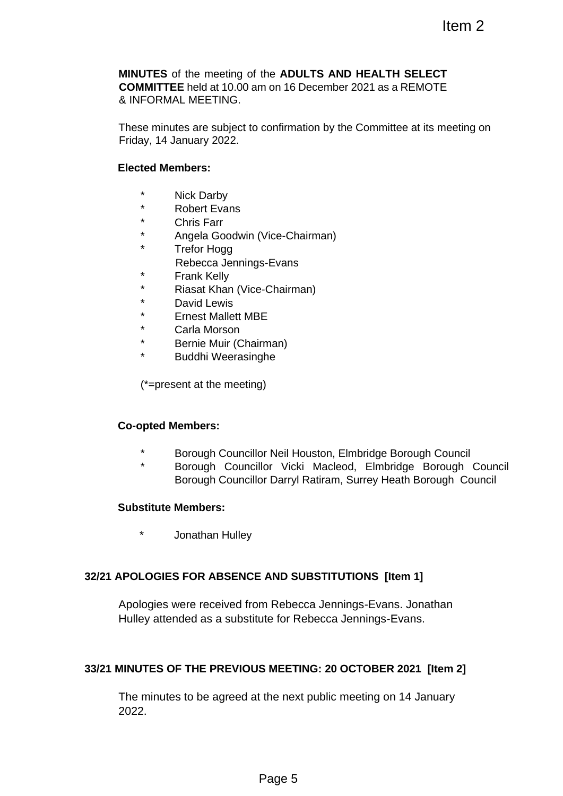**MINUTES** of the meeting of the **ADULTS AND HEALTH SELECT COMMITTEE** held at 10.00 am on 16 December 2021 as a REMOTE & INFORMAL MEETING. Item 2<br>
the ADULTS AND HEALTH SELECT<br>
mon 16 December 2021 as a REMOTE<br>
confirmation by the Committee at its meeting o<br>
s-Evans<br>
e-Chairman)<br>
s-Evans<br>
e-Chairman)<br>
JP<br>
JP<br>
or Neil Houston, Elmbridge Borough Council<br>
JP<br>
JP

These minutes are subject to confirmation by the Committee at its meeting on Friday, 14 January 2022.

#### **Elected Members:**

- \* Nick Darby
- \* Robert Evans
- Chris Farr
- \* Angela Goodwin (Vice-Chairman)
- \* Trefor Hogg
- Rebecca Jennings-Evans
- \* Frank Kelly
- \* Riasat Khan (Vice-Chairman)
- David Lewis
- \* Ernest Mallett MBE
- \* Carla Morson
- \* Bernie Muir (Chairman)
- \* Buddhi Weerasinghe

(\*=present at the meeting)

#### **Co-opted Members:**

- \* Borough Councillor Neil Houston, Elmbridge Borough Council
- Borough Councillor Vicki Macleod, Elmbridge Borough Council Borough Councillor Darryl Ratiram, Surrey Heath Borough Council

#### **Substitute Members:**

\* Jonathan Hulley

#### **32/21 APOLOGIES FOR ABSENCE AND SUBSTITUTIONS [Item 1]**

Apologies were received from Rebecca Jennings-Evans. Jonathan Hulley attended as a substitute for Rebecca Jennings-Evans.

#### **33/21 MINUTES OF THE PREVIOUS MEETING: 20 OCTOBER 2021 [Item 2]**

The minutes to be agreed at the next public meeting on 14 January 2022.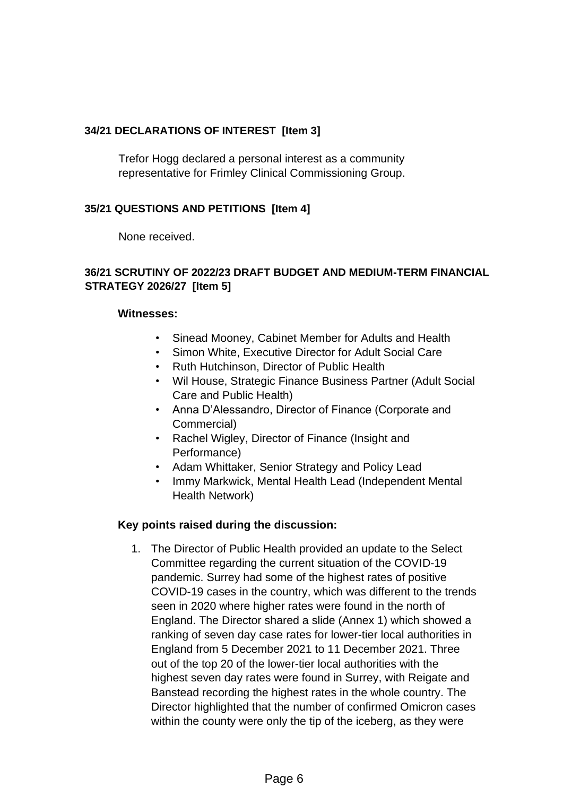# **34/21 DECLARATIONS OF INTEREST [Item 3]**

Trefor Hogg declared a personal interest as a community representative for Frimley Clinical Commissioning Group.

### **35/21 QUESTIONS AND PETITIONS [Item 4]**

None received.

### **36/21 SCRUTINY OF 2022/23 DRAFT BUDGET AND MEDIUM-TERM FINANCIAL STRATEGY 2026/27 [Item 5]**

#### **Witnesses:**

- Sinead Mooney, Cabinet Member for Adults and Health
- Simon White, Executive Director for Adult Social Care
- Ruth Hutchinson, Director of Public Health
- Wil House, Strategic Finance Business Partner (Adult Social Care and Public Health)
- Anna D'Alessandro, Director of Finance (Corporate and Commercial)
- Rachel Wigley, Director of Finance (Insight and Performance)
- Adam Whittaker, Senior Strategy and Policy Lead
- Immy Markwick, Mental Health Lead (Independent Mental Health Network)

#### **Key points raised during the discussion:**

1. The Director of Public Health provided an update to the Select Committee regarding the current situation of the COVID-19 pandemic. Surrey had some of the highest rates of positive COVID-19 cases in the country, which was different to the trends seen in 2020 where higher rates were found in the north of England. The Director shared a slide (Annex 1) which showed a ranking of seven day case rates for lower-tier local authorities in England from 5 December 2021 to 11 December 2021. Three out of the top 20 of the lower-tier local authorities with the highest seven day rates were found in Surrey, with Reigate and Banstead recording the highest rates in the whole country. The Director highlighted that the number of confirmed Omicron cases within the county were only the tip of the iceberg, as they were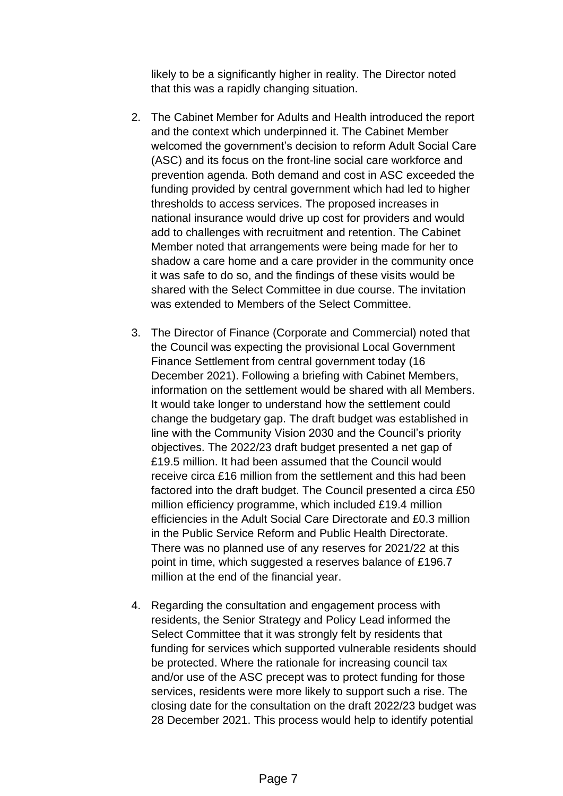likely to be a significantly higher in reality. The Director noted that this was a rapidly changing situation.

- 2. The Cabinet Member for Adults and Health introduced the report and the context which underpinned it. The Cabinet Member welcomed the government's decision to reform Adult Social Care (ASC) and its focus on the front-line social care workforce and prevention agenda. Both demand and cost in ASC exceeded the funding provided by central government which had led to higher thresholds to access services. The proposed increases in national insurance would drive up cost for providers and would add to challenges with recruitment and retention. The Cabinet Member noted that arrangements were being made for her to shadow a care home and a care provider in the community once it was safe to do so, and the findings of these visits would be shared with the Select Committee in due course. The invitation was extended to Members of the Select Committee.
- 3. The Director of Finance (Corporate and Commercial) noted that the Council was expecting the provisional Local Government Finance Settlement from central government today (16 December 2021). Following a briefing with Cabinet Members, information on the settlement would be shared with all Members. It would take longer to understand how the settlement could change the budgetary gap. The draft budget was established in line with the Community Vision 2030 and the Council's priority objectives. The 2022/23 draft budget presented a net gap of £19.5 million. It had been assumed that the Council would receive circa £16 million from the settlement and this had been factored into the draft budget. The Council presented a circa £50 million efficiency programme, which included £19.4 million efficiencies in the Adult Social Care Directorate and £0.3 million in the Public Service Reform and Public Health Directorate. There was no planned use of any reserves for 2021/22 at this point in time, which suggested a reserves balance of £196.7 million at the end of the financial year.
- 4. Regarding the consultation and engagement process with residents, the Senior Strategy and Policy Lead informed the Select Committee that it was strongly felt by residents that funding for services which supported vulnerable residents should be protected. Where the rationale for increasing council tax and/or use of the ASC precept was to protect funding for those services, residents were more likely to support such a rise. The closing date for the consultation on the draft 2022/23 budget was 28 December 2021. This process would help to identify potential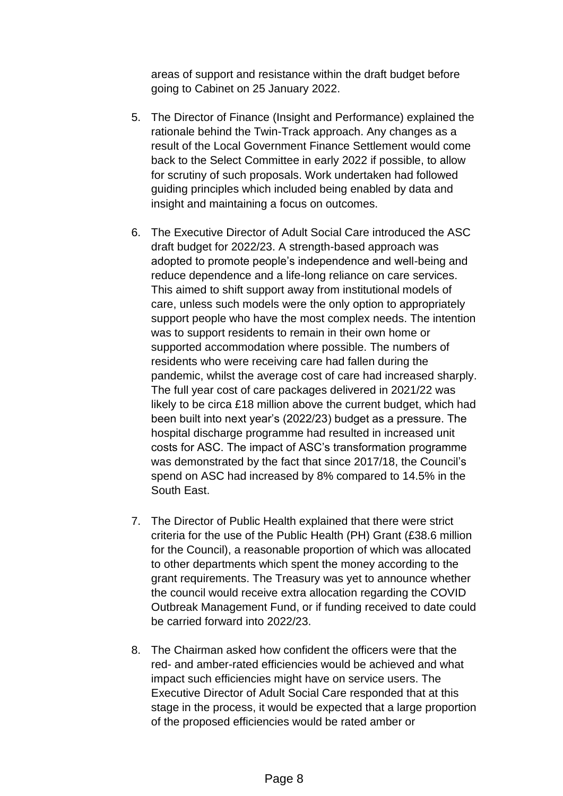areas of support and resistance within the draft budget before going to Cabinet on 25 January 2022.

- 5. The Director of Finance (Insight and Performance) explained the rationale behind the Twin-Track approach. Any changes as a result of the Local Government Finance Settlement would come back to the Select Committee in early 2022 if possible, to allow for scrutiny of such proposals. Work undertaken had followed guiding principles which included being enabled by data and insight and maintaining a focus on outcomes.
- 6. The Executive Director of Adult Social Care introduced the ASC draft budget for 2022/23. A strength-based approach was adopted to promote people's independence and well-being and reduce dependence and a life-long reliance on care services. This aimed to shift support away from institutional models of care, unless such models were the only option to appropriately support people who have the most complex needs. The intention was to support residents to remain in their own home or supported accommodation where possible. The numbers of residents who were receiving care had fallen during the pandemic, whilst the average cost of care had increased sharply. The full year cost of care packages delivered in 2021/22 was likely to be circa £18 million above the current budget, which had been built into next year's (2022/23) budget as a pressure. The hospital discharge programme had resulted in increased unit costs for ASC. The impact of ASC's transformation programme was demonstrated by the fact that since 2017/18, the Council's spend on ASC had increased by 8% compared to 14.5% in the South East.
- 7. The Director of Public Health explained that there were strict criteria for the use of the Public Health (PH) Grant (£38.6 million for the Council), a reasonable proportion of which was allocated to other departments which spent the money according to the grant requirements. The Treasury was yet to announce whether the council would receive extra allocation regarding the COVID Outbreak Management Fund, or if funding received to date could be carried forward into 2022/23.
- 8. The Chairman asked how confident the officers were that the red- and amber-rated efficiencies would be achieved and what impact such efficiencies might have on service users. The Executive Director of Adult Social Care responded that at this stage in the process, it would be expected that a large proportion of the proposed efficiencies would be rated amber or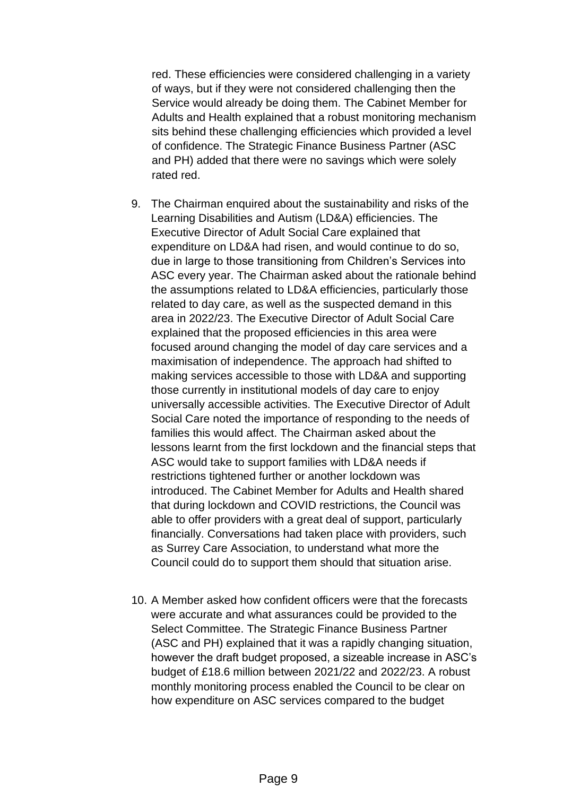red. These efficiencies were considered challenging in a variety of ways, but if they were not considered challenging then the Service would already be doing them. The Cabinet Member for Adults and Health explained that a robust monitoring mechanism sits behind these challenging efficiencies which provided a level of confidence. The Strategic Finance Business Partner (ASC and PH) added that there were no savings which were solely rated red.

- 9. The Chairman enquired about the sustainability and risks of the Learning Disabilities and Autism (LD&A) efficiencies. The Executive Director of Adult Social Care explained that expenditure on LD&A had risen, and would continue to do so, due in large to those transitioning from Children's Services into ASC every year. The Chairman asked about the rationale behind the assumptions related to LD&A efficiencies, particularly those related to day care, as well as the suspected demand in this area in 2022/23. The Executive Director of Adult Social Care explained that the proposed efficiencies in this area were focused around changing the model of day care services and a maximisation of independence. The approach had shifted to making services accessible to those with LD&A and supporting those currently in institutional models of day care to enjoy universally accessible activities. The Executive Director of Adult Social Care noted the importance of responding to the needs of families this would affect. The Chairman asked about the lessons learnt from the first lockdown and the financial steps that ASC would take to support families with LD&A needs if restrictions tightened further or another lockdown was introduced. The Cabinet Member for Adults and Health shared that during lockdown and COVID restrictions, the Council was able to offer providers with a great deal of support, particularly financially. Conversations had taken place with providers, such as Surrey Care Association, to understand what more the Council could do to support them should that situation arise.
- 10. A Member asked how confident officers were that the forecasts were accurate and what assurances could be provided to the Select Committee. The Strategic Finance Business Partner (ASC and PH) explained that it was a rapidly changing situation, however the draft budget proposed, a sizeable increase in ASC's budget of £18.6 million between 2021/22 and 2022/23. A robust monthly monitoring process enabled the Council to be clear on how expenditure on ASC services compared to the budget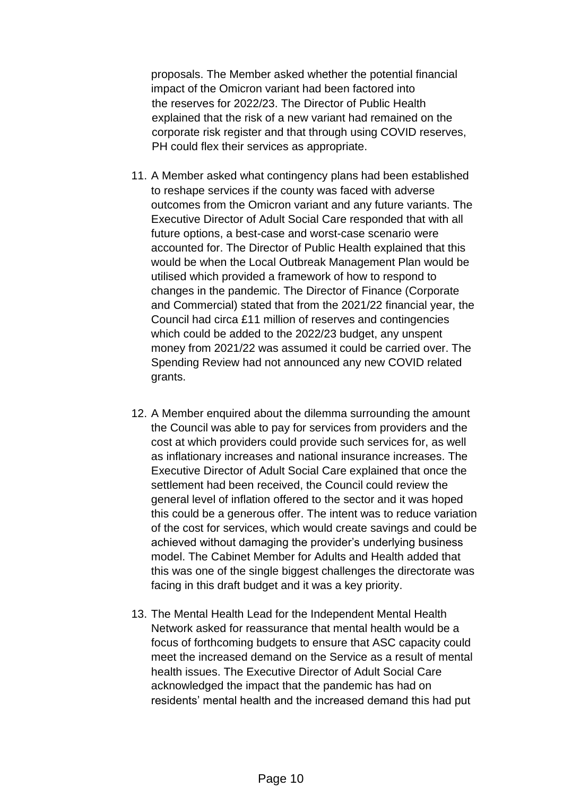proposals. The Member asked whether the potential financial impact of the Omicron variant had been factored into the reserves for 2022/23. The Director of Public Health explained that the risk of a new variant had remained on the corporate risk register and that through using COVID reserves, PH could flex their services as appropriate.

- 11. A Member asked what contingency plans had been established to reshape services if the county was faced with adverse outcomes from the Omicron variant and any future variants. The Executive Director of Adult Social Care responded that with all future options, a best-case and worst-case scenario were accounted for. The Director of Public Health explained that this would be when the Local Outbreak Management Plan would be utilised which provided a framework of how to respond to changes in the pandemic. The Director of Finance (Corporate and Commercial) stated that from the 2021/22 financial year, the Council had circa £11 million of reserves and contingencies which could be added to the 2022/23 budget, any unspent money from 2021/22 was assumed it could be carried over. The Spending Review had not announced any new COVID related grants.
- 12. A Member enquired about the dilemma surrounding the amount the Council was able to pay for services from providers and the cost at which providers could provide such services for, as well as inflationary increases and national insurance increases. The Executive Director of Adult Social Care explained that once the settlement had been received, the Council could review the general level of inflation offered to the sector and it was hoped this could be a generous offer. The intent was to reduce variation of the cost for services, which would create savings and could be achieved without damaging the provider's underlying business model. The Cabinet Member for Adults and Health added that this was one of the single biggest challenges the directorate was facing in this draft budget and it was a key priority.
- 13. The Mental Health Lead for the Independent Mental Health Network asked for reassurance that mental health would be a focus of forthcoming budgets to ensure that ASC capacity could meet the increased demand on the Service as a result of mental health issues. The Executive Director of Adult Social Care acknowledged the impact that the pandemic has had on residents' mental health and the increased demand this had put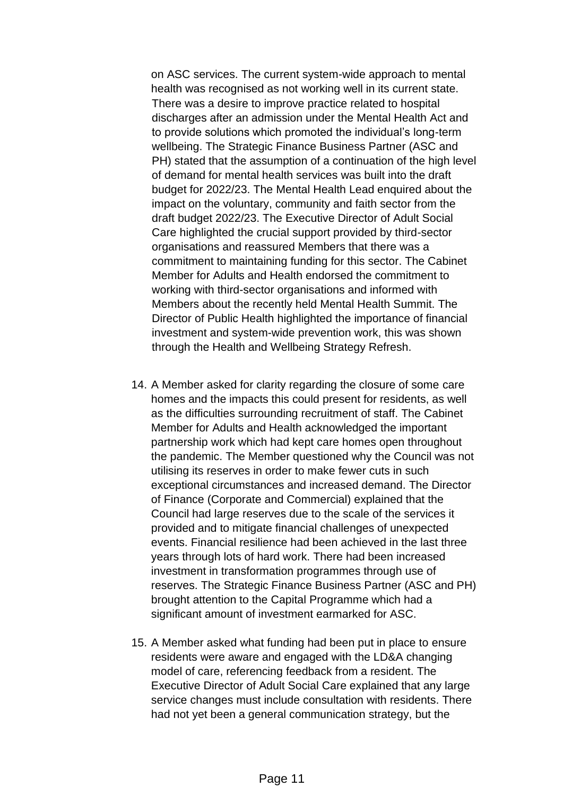on ASC services. The current system-wide approach to mental health was recognised as not working well in its current state. There was a desire to improve practice related to hospital discharges after an admission under the Mental Health Act and to provide solutions which promoted the individual's long-term wellbeing. The Strategic Finance Business Partner (ASC and PH) stated that the assumption of a continuation of the high level of demand for mental health services was built into the draft budget for 2022/23. The Mental Health Lead enquired about the impact on the voluntary, community and faith sector from the draft budget 2022/23. The Executive Director of Adult Social Care highlighted the crucial support provided by third-sector organisations and reassured Members that there was a commitment to maintaining funding for this sector. The Cabinet Member for Adults and Health endorsed the commitment to working with third-sector organisations and informed with Members about the recently held Mental Health Summit. The Director of Public Health highlighted the importance of financial investment and system-wide prevention work, this was shown through the Health and Wellbeing Strategy Refresh.

- 14. A Member asked for clarity regarding the closure of some care homes and the impacts this could present for residents, as well as the difficulties surrounding recruitment of staff. The Cabinet Member for Adults and Health acknowledged the important partnership work which had kept care homes open throughout the pandemic. The Member questioned why the Council was not utilising its reserves in order to make fewer cuts in such exceptional circumstances and increased demand. The Director of Finance (Corporate and Commercial) explained that the Council had large reserves due to the scale of the services it provided and to mitigate financial challenges of unexpected events. Financial resilience had been achieved in the last three years through lots of hard work. There had been increased investment in transformation programmes through use of reserves. The Strategic Finance Business Partner (ASC and PH) brought attention to the Capital Programme which had a significant amount of investment earmarked for ASC.
- 15. A Member asked what funding had been put in place to ensure residents were aware and engaged with the LD&A changing model of care, referencing feedback from a resident. The Executive Director of Adult Social Care explained that any large service changes must include consultation with residents. There had not yet been a general communication strategy, but the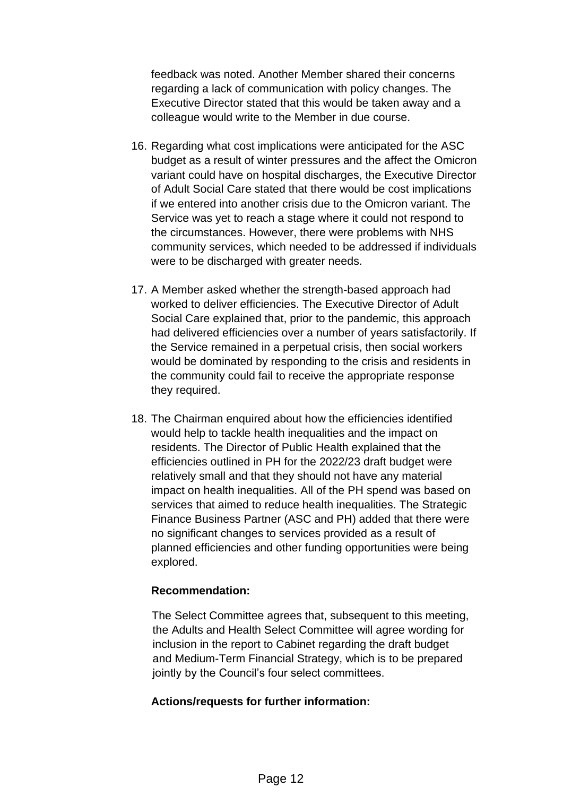feedback was noted. Another Member shared their concerns regarding a lack of communication with policy changes. The Executive Director stated that this would be taken away and a colleague would write to the Member in due course.

- 16. Regarding what cost implications were anticipated for the ASC budget as a result of winter pressures and the affect the Omicron variant could have on hospital discharges, the Executive Director of Adult Social Care stated that there would be cost implications if we entered into another crisis due to the Omicron variant. The Service was yet to reach a stage where it could not respond to the circumstances. However, there were problems with NHS community services, which needed to be addressed if individuals were to be discharged with greater needs.
- 17. A Member asked whether the strength-based approach had worked to deliver efficiencies. The Executive Director of Adult Social Care explained that, prior to the pandemic, this approach had delivered efficiencies over a number of years satisfactorily. If the Service remained in a perpetual crisis, then social workers would be dominated by responding to the crisis and residents in the community could fail to receive the appropriate response they required.
- 18. The Chairman enquired about how the efficiencies identified would help to tackle health inequalities and the impact on residents. The Director of Public Health explained that the efficiencies outlined in PH for the 2022/23 draft budget were relatively small and that they should not have any material impact on health inequalities. All of the PH spend was based on services that aimed to reduce health inequalities. The Strategic Finance Business Partner (ASC and PH) added that there were no significant changes to services provided as a result of planned efficiencies and other funding opportunities were being explored.

#### **Recommendation:**

The Select Committee agrees that, subsequent to this meeting, the Adults and Health Select Committee will agree wording for inclusion in the report to Cabinet regarding the draft budget and Medium-Term Financial Strategy, which is to be prepared jointly by the Council's four select committees.

#### **Actions/requests for further information:**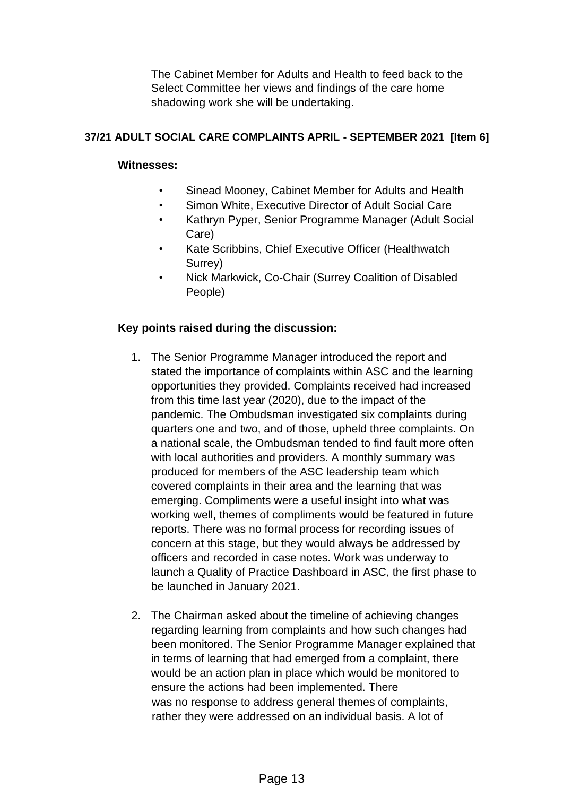The Cabinet Member for Adults and Health to feed back to the Select Committee her views and findings of the care home shadowing work she will be undertaking.

# **37/21 ADULT SOCIAL CARE COMPLAINTS APRIL - SEPTEMBER 2021 [Item 6]**

# **Witnesses:**

- Sinead Mooney, Cabinet Member for Adults and Health
- Simon White, Executive Director of Adult Social Care
- Kathryn Pyper, Senior Programme Manager (Adult Social Care)
- Kate Scribbins, Chief Executive Officer (Healthwatch Surrey)
- Nick Markwick, Co-Chair (Surrey Coalition of Disabled People)

# **Key points raised during the discussion:**

- 1. The Senior Programme Manager introduced the report and stated the importance of complaints within ASC and the learning opportunities they provided. Complaints received had increased from this time last year (2020), due to the impact of the pandemic. The Ombudsman investigated six complaints during quarters one and two, and of those, upheld three complaints. On a national scale, the Ombudsman tended to find fault more often with local authorities and providers. A monthly summary was produced for members of the ASC leadership team which covered complaints in their area and the learning that was emerging. Compliments were a useful insight into what was working well, themes of compliments would be featured in future reports. There was no formal process for recording issues of concern at this stage, but they would always be addressed by officers and recorded in case notes. Work was underway to launch a Quality of Practice Dashboard in ASC, the first phase to be launched in January 2021.
- 2. The Chairman asked about the timeline of achieving changes regarding learning from complaints and how such changes had been monitored. The Senior Programme Manager explained that in terms of learning that had emerged from a complaint, there would be an action plan in place which would be monitored to ensure the actions had been implemented. There was no response to address general themes of complaints, rather they were addressed on an individual basis. A lot of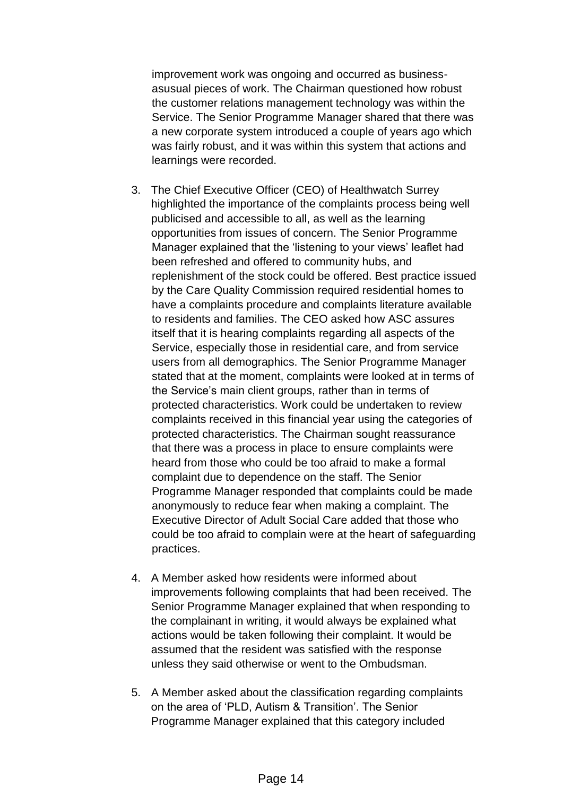improvement work was ongoing and occurred as businessasusual pieces of work. The Chairman questioned how robust the customer relations management technology was within the Service. The Senior Programme Manager shared that there was a new corporate system introduced a couple of years ago which was fairly robust, and it was within this system that actions and learnings were recorded.

- 3. The Chief Executive Officer (CEO) of Healthwatch Surrey highlighted the importance of the complaints process being well publicised and accessible to all, as well as the learning opportunities from issues of concern. The Senior Programme Manager explained that the 'listening to your views' leaflet had been refreshed and offered to community hubs, and replenishment of the stock could be offered. Best practice issued by the Care Quality Commission required residential homes to have a complaints procedure and complaints literature available to residents and families. The CEO asked how ASC assures itself that it is hearing complaints regarding all aspects of the Service, especially those in residential care, and from service users from all demographics. The Senior Programme Manager stated that at the moment, complaints were looked at in terms of the Service's main client groups, rather than in terms of protected characteristics. Work could be undertaken to review complaints received in this financial year using the categories of protected characteristics. The Chairman sought reassurance that there was a process in place to ensure complaints were heard from those who could be too afraid to make a formal complaint due to dependence on the staff. The Senior Programme Manager responded that complaints could be made anonymously to reduce fear when making a complaint. The Executive Director of Adult Social Care added that those who could be too afraid to complain were at the heart of safeguarding practices.
- 4. A Member asked how residents were informed about improvements following complaints that had been received. The Senior Programme Manager explained that when responding to the complainant in writing, it would always be explained what actions would be taken following their complaint. It would be assumed that the resident was satisfied with the response unless they said otherwise or went to the Ombudsman.
- 5. A Member asked about the classification regarding complaints on the area of 'PLD, Autism & Transition'. The Senior Programme Manager explained that this category included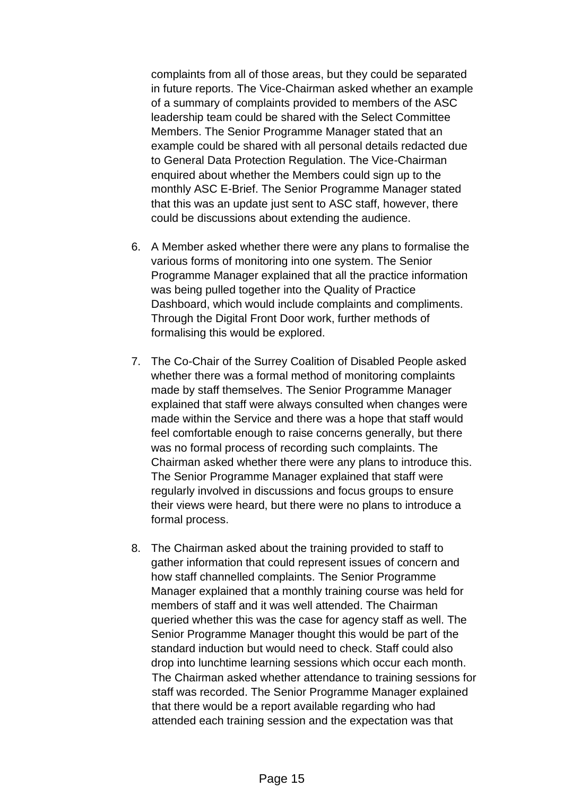complaints from all of those areas, but they could be separated in future reports. The Vice-Chairman asked whether an example of a summary of complaints provided to members of the ASC leadership team could be shared with the Select Committee Members. The Senior Programme Manager stated that an example could be shared with all personal details redacted due to General Data Protection Regulation. The Vice-Chairman enquired about whether the Members could sign up to the monthly ASC E-Brief. The Senior Programme Manager stated that this was an update just sent to ASC staff, however, there could be discussions about extending the audience.

- 6. A Member asked whether there were any plans to formalise the various forms of monitoring into one system. The Senior Programme Manager explained that all the practice information was being pulled together into the Quality of Practice Dashboard, which would include complaints and compliments. Through the Digital Front Door work, further methods of formalising this would be explored.
- 7. The Co-Chair of the Surrey Coalition of Disabled People asked whether there was a formal method of monitoring complaints made by staff themselves. The Senior Programme Manager explained that staff were always consulted when changes were made within the Service and there was a hope that staff would feel comfortable enough to raise concerns generally, but there was no formal process of recording such complaints. The Chairman asked whether there were any plans to introduce this. The Senior Programme Manager explained that staff were regularly involved in discussions and focus groups to ensure their views were heard, but there were no plans to introduce a formal process.
- 8. The Chairman asked about the training provided to staff to gather information that could represent issues of concern and how staff channelled complaints. The Senior Programme Manager explained that a monthly training course was held for members of staff and it was well attended. The Chairman queried whether this was the case for agency staff as well. The Senior Programme Manager thought this would be part of the standard induction but would need to check. Staff could also drop into lunchtime learning sessions which occur each month. The Chairman asked whether attendance to training sessions for staff was recorded. The Senior Programme Manager explained that there would be a report available regarding who had attended each training session and the expectation was that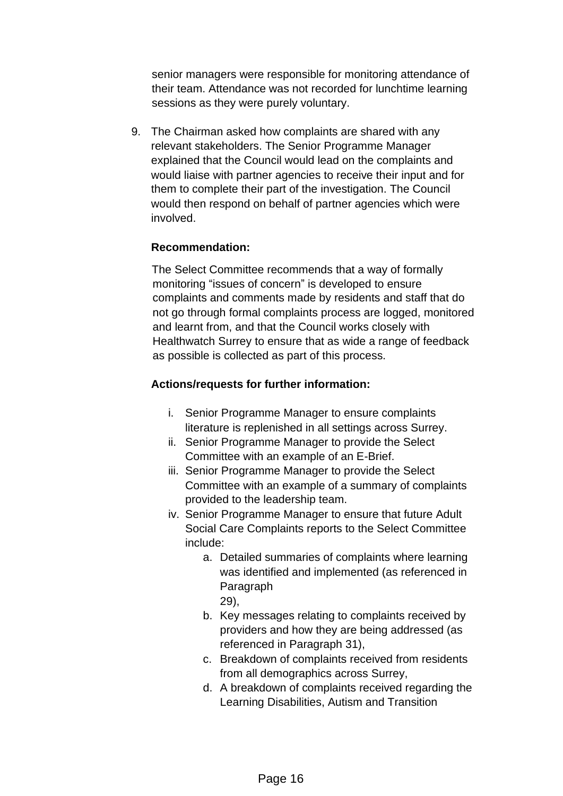senior managers were responsible for monitoring attendance of their team. Attendance was not recorded for lunchtime learning sessions as they were purely voluntary.

9. The Chairman asked how complaints are shared with any relevant stakeholders. The Senior Programme Manager explained that the Council would lead on the complaints and would liaise with partner agencies to receive their input and for them to complete their part of the investigation. The Council would then respond on behalf of partner agencies which were involved.

# **Recommendation:**

The Select Committee recommends that a way of formally monitoring "issues of concern" is developed to ensure complaints and comments made by residents and staff that do not go through formal complaints process are logged, monitored and learnt from, and that the Council works closely with Healthwatch Surrey to ensure that as wide a range of feedback as possible is collected as part of this process.

### **Actions/requests for further information:**

- i. Senior Programme Manager to ensure complaints literature is replenished in all settings across Surrey.
- ii. Senior Programme Manager to provide the Select Committee with an example of an E-Brief.
- iii. Senior Programme Manager to provide the Select Committee with an example of a summary of complaints provided to the leadership team.
- iv. Senior Programme Manager to ensure that future Adult Social Care Complaints reports to the Select Committee include:
	- a. Detailed summaries of complaints where learning was identified and implemented (as referenced in Paragraph 29),
	- b. Key messages relating to complaints received by providers and how they are being addressed (as referenced in Paragraph 31),
	- c. Breakdown of complaints received from residents from all demographics across Surrey,
	- d. A breakdown of complaints received regarding the Learning Disabilities, Autism and Transition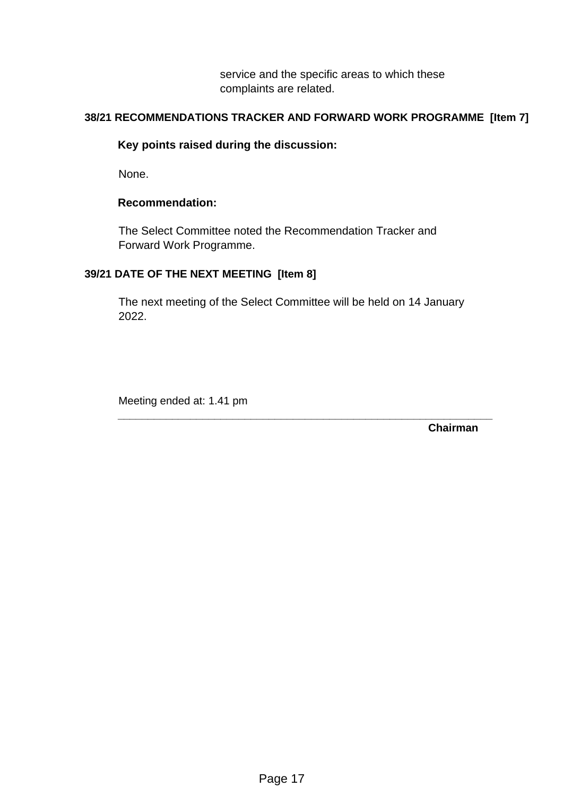service and the specific areas to which these complaints are related.

# **38/21 RECOMMENDATIONS TRACKER AND FORWARD WORK PROGRAMME [Item 7]**

### **Key points raised during the discussion:**

None.

#### **Recommendation:**

The Select Committee noted the Recommendation Tracker and Forward Work Programme.

### **39/21 DATE OF THE NEXT MEETING [Item 8]**

The next meeting of the Select Committee will be held on 14 January 2022.

**\_\_\_\_\_\_\_\_\_\_\_\_\_\_\_\_\_\_\_\_\_\_\_\_\_\_\_\_\_\_\_\_\_\_\_\_\_\_\_\_\_\_\_\_\_\_\_\_\_\_\_\_\_\_\_\_\_\_\_\_\_\_** 

Meeting ended at: 1.41 pm

**Chairman**